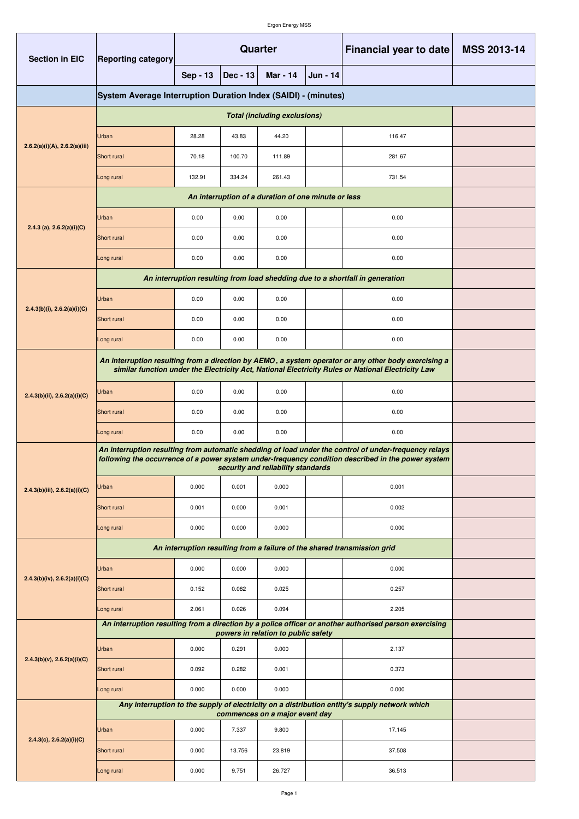| <b>Section in EIC</b>             | Quarter<br><b>Reporting category</b>                                                                                                                                                                        |          |            |                                |          | <b>Financial year to date</b>                                                                                                                                                                              | <b>MSS 2013-14</b> |
|-----------------------------------|-------------------------------------------------------------------------------------------------------------------------------------------------------------------------------------------------------------|----------|------------|--------------------------------|----------|------------------------------------------------------------------------------------------------------------------------------------------------------------------------------------------------------------|--------------------|
|                                   |                                                                                                                                                                                                             | Sep - 13 | $Dec - 13$ | <b>Mar - 14</b>                | Jun - 14 |                                                                                                                                                                                                            |                    |
|                                   | System Average Interruption Duration Index (SAIDI) - (minutes)                                                                                                                                              |          |            |                                |          |                                                                                                                                                                                                            |                    |
|                                   |                                                                                                                                                                                                             |          |            |                                |          |                                                                                                                                                                                                            |                    |
| 2.6.2(a)(i)(A), 2.6.2(a)(iii)     | Urban                                                                                                                                                                                                       | 28.28    | 43.83      | 44.20                          |          | 116.47                                                                                                                                                                                                     |                    |
|                                   | Short rural                                                                                                                                                                                                 | 70.18    | 100.70     | 111.89                         |          | 281.67                                                                                                                                                                                                     |                    |
|                                   | Long rural                                                                                                                                                                                                  | 132.91   | 334.24     | 261.43                         |          | 731.54                                                                                                                                                                                                     |                    |
|                                   |                                                                                                                                                                                                             |          |            |                                |          |                                                                                                                                                                                                            |                    |
|                                   | Urban                                                                                                                                                                                                       | 0.00     | 0.00       | 0.00                           |          | 0.00                                                                                                                                                                                                       |                    |
| 2.4.3 (a), $2.6.2(a)(i)(C)$       | Short rural                                                                                                                                                                                                 | 0.00     | 0.00       | 0.00                           |          | 0.00                                                                                                                                                                                                       |                    |
|                                   | Long rural                                                                                                                                                                                                  | 0.00     | 0.00       | 0.00                           |          | 0.00                                                                                                                                                                                                       |                    |
|                                   |                                                                                                                                                                                                             |          |            |                                |          | An interruption resulting from load shedding due to a shortfall in generation                                                                                                                              |                    |
|                                   | Urban                                                                                                                                                                                                       | 0.00     | 0.00       | 0.00                           |          | 0.00                                                                                                                                                                                                       |                    |
| 2.4.3(b)(i), 2.6.2(a)(i)(C)       | Short rural                                                                                                                                                                                                 | 0.00     | 0.00       | 0.00                           |          | 0.00                                                                                                                                                                                                       |                    |
|                                   | Long rural                                                                                                                                                                                                  | 0.00     | 0.00       | 0.00                           |          | 0.00                                                                                                                                                                                                       |                    |
|                                   |                                                                                                                                                                                                             |          |            |                                |          | An interruption resulting from a direction by AEMO, a system operator or any other body exercising a<br>similar function under the Electricity Act, National Electricity Rules or National Electricity Law |                    |
| 2.4.3(b)(ii), 2.6.2(a)(i)(C)      | Urban                                                                                                                                                                                                       | 0.00     | 0.00       | 0.00                           |          | 0.00                                                                                                                                                                                                       |                    |
|                                   | Short rural                                                                                                                                                                                                 | 0.00     | 0.00       | 0.00                           |          | 0.00                                                                                                                                                                                                       |                    |
|                                   | Long rural                                                                                                                                                                                                  | 0.00     | 0.00       | 0.00                           |          | 0.00                                                                                                                                                                                                       |                    |
|                                   | An interruption resulting from automatic shedding of load under the control of under-frequency relays<br>following the occurrence of a power system under-frequency condition described in the power system |          |            |                                |          |                                                                                                                                                                                                            |                    |
| 2.4.3(b)(iii), 2.6.2(a)(i)(C)     | Urban                                                                                                                                                                                                       | 0.000    | 0.001      | 0.000                          |          | 0.001                                                                                                                                                                                                      |                    |
|                                   | Short rural                                                                                                                                                                                                 | 0.001    | 0.000      | 0.001                          |          | 0.002                                                                                                                                                                                                      |                    |
|                                   | Long rural                                                                                                                                                                                                  | 0.000    | 0.000      | 0.000                          |          | 0.000                                                                                                                                                                                                      |                    |
|                                   | An interruption resulting from a failure of the shared transmission grid                                                                                                                                    |          |            |                                |          |                                                                                                                                                                                                            |                    |
|                                   | Urban                                                                                                                                                                                                       | 0.000    | 0.000      | 0.000                          |          | 0.000                                                                                                                                                                                                      |                    |
| $2.4.3(b)(iv)$ , $2.6.2(a)(i)(C)$ | Short rural                                                                                                                                                                                                 | 0.152    | 0.082      | 0.025                          |          | 0.257                                                                                                                                                                                                      |                    |
|                                   | Long rural                                                                                                                                                                                                  | 2.061    | 0.026      | 0.094                          |          | 2.205                                                                                                                                                                                                      |                    |
| 2.4.3(b)(v), 2.6.2(a)(i)(C)       | An interruption resulting from a direction by a police officer or another authorised person exercising                                                                                                      |          |            |                                |          |                                                                                                                                                                                                            |                    |
|                                   | Urban                                                                                                                                                                                                       | 0.000    | 0.291      | 0.000                          |          | 2.137                                                                                                                                                                                                      |                    |
|                                   | Short rural                                                                                                                                                                                                 | 0.092    | 0.282      | 0.001                          |          | 0.373                                                                                                                                                                                                      |                    |
|                                   | Long rural                                                                                                                                                                                                  | 0.000    | 0.000      | 0.000                          |          | 0.000                                                                                                                                                                                                      |                    |
|                                   |                                                                                                                                                                                                             |          |            | commences on a major event day |          | Any interruption to the supply of electricity on a distribution entity's supply network which                                                                                                              |                    |
| 2.4.3(c), 2.6.2(a)(i)(C)          | Urban                                                                                                                                                                                                       | 0.000    | 7.337      | 9.800                          |          | 17.145                                                                                                                                                                                                     |                    |
|                                   | Short rural                                                                                                                                                                                                 | 0.000    | 13.756     | 23.819                         |          | 37.508                                                                                                                                                                                                     |                    |
|                                   | Long rural                                                                                                                                                                                                  | 0.000    | 9.751      | 26.727                         |          | 36.513                                                                                                                                                                                                     |                    |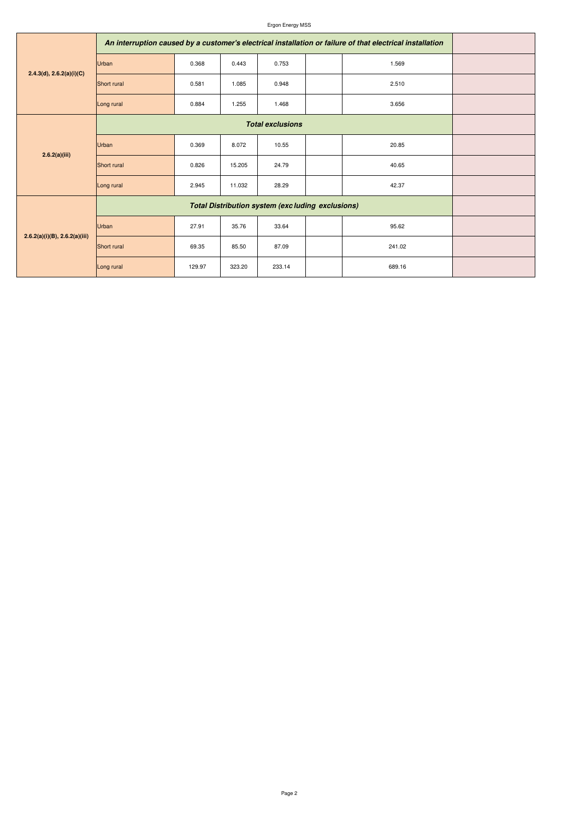## Ergon Energy MSS

| 2.4.3(d), 2.6.2(a)(i)(C)           | An interruption caused by a customer's electrical installation or failure of that electrical installation |        |        |        |        |  |
|------------------------------------|-----------------------------------------------------------------------------------------------------------|--------|--------|--------|--------|--|
|                                    | Urban                                                                                                     | 0.368  | 0.443  | 0.753  | 1.569  |  |
|                                    | Short rural                                                                                               | 0.581  | 1.085  | 0.948  | 2.510  |  |
|                                    | Long rural                                                                                                | 0.884  | 1.255  | 1.468  | 3.656  |  |
| 2.6.2(a)(iii)                      |                                                                                                           |        |        |        |        |  |
|                                    | Urban                                                                                                     | 0.369  | 8.072  | 10.55  | 20.85  |  |
|                                    | Short rural                                                                                               | 0.826  | 15.205 | 24.79  | 40.65  |  |
|                                    | Long rural                                                                                                | 2.945  | 11.032 | 28.29  | 42.37  |  |
| $2.6.2(a)(i)(B)$ , $2.6.2(a)(iii)$ |                                                                                                           |        |        |        |        |  |
|                                    | Urban                                                                                                     | 27.91  | 35.76  | 33.64  | 95.62  |  |
|                                    | Short rural                                                                                               | 69.35  | 85.50  | 87.09  | 241.02 |  |
|                                    | Long rural                                                                                                | 129.97 | 323.20 | 233.14 | 689.16 |  |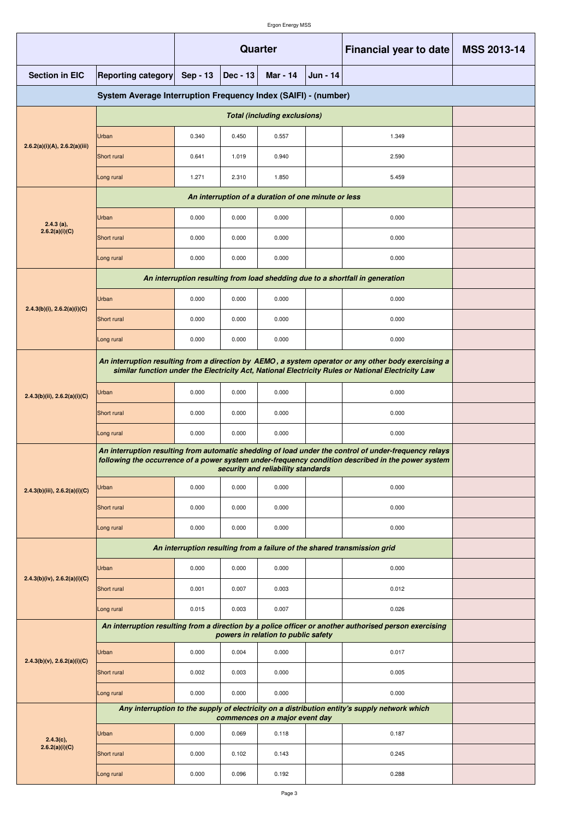|                                                                |                                                                                                                                                                                                             |                                                |       | Quarter                        |  | <b>Financial year to date</b>                                                                 | <b>MSS 2013-14</b> |  |
|----------------------------------------------------------------|-------------------------------------------------------------------------------------------------------------------------------------------------------------------------------------------------------------|------------------------------------------------|-------|--------------------------------|--|-----------------------------------------------------------------------------------------------|--------------------|--|
| <b>Section in EIC</b>                                          | <b>Reporting category</b>                                                                                                                                                                                   | Sep - 13<br>$Dec - 13$<br>Mar - 14<br>Jun - 14 |       |                                |  |                                                                                               |                    |  |
| System Average Interruption Frequency Index (SAIFI) - (number) |                                                                                                                                                                                                             |                                                |       |                                |  |                                                                                               |                    |  |
|                                                                |                                                                                                                                                                                                             |                                                |       |                                |  |                                                                                               |                    |  |
| 2.6.2(a)(i)(A), 2.6.2(a)(iii)                                  | Urban                                                                                                                                                                                                       | 0.340                                          | 0.450 | 0.557                          |  | 1.349                                                                                         |                    |  |
|                                                                | Short rural                                                                                                                                                                                                 | 0.641                                          | 1.019 | 0.940                          |  | 2.590                                                                                         |                    |  |
|                                                                | Long rural                                                                                                                                                                                                  | 1.271                                          | 2.310 | 1.850                          |  | 5.459                                                                                         |                    |  |
|                                                                |                                                                                                                                                                                                             |                                                |       |                                |  |                                                                                               |                    |  |
| $2.4.3$ (a),                                                   | Urban                                                                                                                                                                                                       | 0.000                                          | 0.000 | 0.000                          |  | 0.000                                                                                         |                    |  |
| 2.6.2(a)(i)(C)                                                 | Short rural                                                                                                                                                                                                 | 0.000                                          | 0.000 | 0.000                          |  | 0.000                                                                                         |                    |  |
|                                                                | Long rural                                                                                                                                                                                                  | 0.000                                          | 0.000 | 0.000                          |  | 0.000                                                                                         |                    |  |
|                                                                |                                                                                                                                                                                                             |                                                |       |                                |  | An interruption resulting from load shedding due to a shortfall in generation                 |                    |  |
|                                                                | Urban                                                                                                                                                                                                       | 0.000                                          | 0.000 | 0.000                          |  | 0.000                                                                                         |                    |  |
| 2.4.3(b)(i), 2.6.2(a)(i)(C)                                    | Short rural                                                                                                                                                                                                 | 0.000                                          | 0.000 | 0.000                          |  | 0.000                                                                                         |                    |  |
|                                                                | Long rural                                                                                                                                                                                                  | 0.000                                          | 0.000 | 0.000                          |  | 0.000                                                                                         |                    |  |
|                                                                | An interruption resulting from a direction by AEMO, a system operator or any other body exercising a<br>similar function under the Electricity Act, National Electricity Rules or National Electricity Law  |                                                |       |                                |  |                                                                                               |                    |  |
| 2.4.3(b)(ii), 2.6.2(a)(i)(C)                                   | Urban                                                                                                                                                                                                       | 0.000                                          | 0.000 | 0.000                          |  | 0.000                                                                                         |                    |  |
|                                                                | Short rural                                                                                                                                                                                                 | 0.000                                          | 0.000 | 0.000                          |  | 0.000                                                                                         |                    |  |
|                                                                | Long rural                                                                                                                                                                                                  | 0.000                                          | 0.000 | 0.000                          |  | 0.000                                                                                         |                    |  |
|                                                                | An interruption resulting from automatic shedding of load under the control of under-frequency relays<br>following the occurrence of a power system under-frequency condition described in the power system |                                                |       |                                |  |                                                                                               |                    |  |
| 2.4.3(b)(iii), 2.6.2(a)(i)(C)                                  | Urban                                                                                                                                                                                                       | 0.000                                          | 0.000 | 0.000                          |  | 0.000                                                                                         |                    |  |
|                                                                | Short rural                                                                                                                                                                                                 | 0.000                                          | 0.000 | 0.000                          |  | 0.000                                                                                         |                    |  |
|                                                                | Long rural                                                                                                                                                                                                  | 0.000                                          | 0.000 | 0.000                          |  | 0.000                                                                                         |                    |  |
|                                                                | An interruption resulting from a failure of the shared transmission grid                                                                                                                                    |                                                |       |                                |  |                                                                                               |                    |  |
|                                                                | Urban                                                                                                                                                                                                       | 0.000                                          | 0.000 | 0.000                          |  | 0.000                                                                                         |                    |  |
| 2.4.3(b)(iv), 2.6.2(a)(i)(C)                                   | Short rural                                                                                                                                                                                                 | 0.001                                          | 0.007 | 0.003                          |  | 0.012                                                                                         |                    |  |
|                                                                | Long rural                                                                                                                                                                                                  | 0.015                                          | 0.003 | 0.007                          |  | 0.026                                                                                         |                    |  |
| $2.4.3(b)(v)$ , $2.6.2(a)(i)(C)$                               | An interruption resulting from a direction by a police officer or another authorised person exercising                                                                                                      |                                                |       |                                |  |                                                                                               |                    |  |
|                                                                | Urban                                                                                                                                                                                                       | 0.000                                          | 0.004 | 0.000                          |  | 0.017                                                                                         |                    |  |
|                                                                | Short rural                                                                                                                                                                                                 | 0.002                                          | 0.003 | 0.000                          |  | 0.005                                                                                         |                    |  |
|                                                                | Long rural                                                                                                                                                                                                  | 0.000                                          | 0.000 | 0.000                          |  | 0.000                                                                                         |                    |  |
|                                                                |                                                                                                                                                                                                             |                                                |       | commences on a major event day |  | Any interruption to the supply of electricity on a distribution entity's supply network which |                    |  |
| $2.4.3(c)$ ,                                                   | Urban                                                                                                                                                                                                       | 0.000                                          | 0.069 | 0.118                          |  | 0.187                                                                                         |                    |  |
| 2.6.2(a)(i)(C)                                                 | Short rural                                                                                                                                                                                                 | 0.000                                          | 0.102 | 0.143                          |  | 0.245                                                                                         |                    |  |
|                                                                | Long rural                                                                                                                                                                                                  | 0.000                                          | 0.096 | 0.192                          |  | 0.288                                                                                         |                    |  |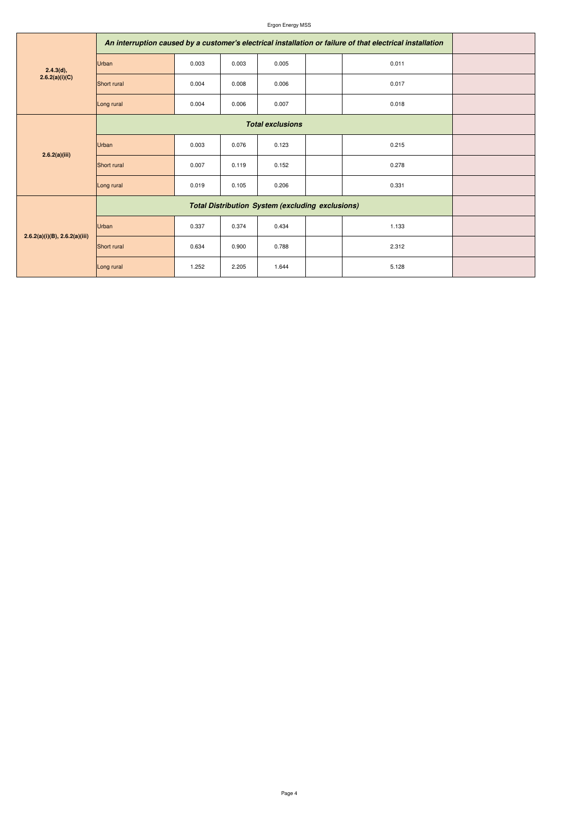## Ergon Energy MSS

| 2.4.3(d),<br>2.6.2(a)(i)(C)        | An interruption caused by a customer's electrical installation or failure of that electrical installation |       |       |       |       |  |
|------------------------------------|-----------------------------------------------------------------------------------------------------------|-------|-------|-------|-------|--|
|                                    | Urban                                                                                                     | 0.003 | 0.003 | 0.005 | 0.011 |  |
|                                    | Short rural                                                                                               | 0.004 | 0.008 | 0.006 | 0.017 |  |
|                                    | Long rural                                                                                                | 0.004 | 0.006 | 0.007 | 0.018 |  |
| 2.6.2(a)(iii)                      |                                                                                                           |       |       |       |       |  |
|                                    | Urban                                                                                                     | 0.003 | 0.076 | 0.123 | 0.215 |  |
|                                    | Short rural                                                                                               | 0.007 | 0.119 | 0.152 | 0.278 |  |
|                                    | Long rural                                                                                                | 0.019 | 0.105 | 0.206 | 0.331 |  |
| $2.6.2(a)(i)(B)$ , $2.6.2(a)(iii)$ |                                                                                                           |       |       |       |       |  |
|                                    | <b>Urban</b>                                                                                              | 0.337 | 0.374 | 0.434 | 1.133 |  |
|                                    | Short rural                                                                                               | 0.634 | 0.900 | 0.788 | 2.312 |  |
|                                    | Long rural                                                                                                | 1.252 | 2.205 | 1.644 | 5.128 |  |